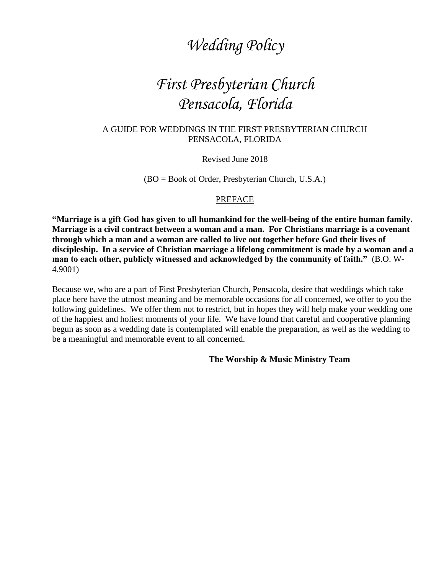# *Wedding Policy*

# *First Presbyterian Church Pensacola, Florida*

#### A GUIDE FOR WEDDINGS IN THE FIRST PRESBYTERIAN CHURCH PENSACOLA, FLORIDA

Revised June 2018

(BO = Book of Order, Presbyterian Church, U.S.A.)

#### **PREFACE**

**"Marriage is a gift God has given to all humankind for the well-being of the entire human family. Marriage is a civil contract between a woman and a man. For Christians marriage is a covenant through which a man and a woman are called to live out together before God their lives of discipleship. In a service of Christian marriage a lifelong commitment is made by a woman and a man to each other, publicly witnessed and acknowledged by the community of faith."** (B.O. W-4.9001)

Because we, who are a part of First Presbyterian Church, Pensacola, desire that weddings which take place here have the utmost meaning and be memorable occasions for all concerned, we offer to you the following guidelines. We offer them not to restrict, but in hopes they will help make your wedding one of the happiest and holiest moments of your life. We have found that careful and cooperative planning begun as soon as a wedding date is contemplated will enable the preparation, as well as the wedding to be a meaningful and memorable event to all concerned.

#### **The Worship & Music Ministry Team**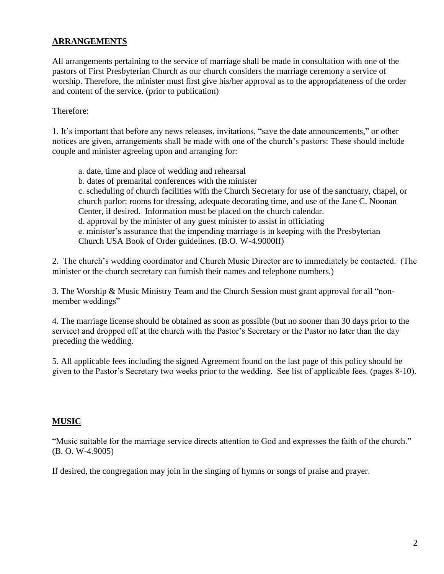## **ARRANGEMENTS**

All arrangements pertaining to the service of marriage shall be made in consultation with one of the pastors of First Presbyterian Church as our church considers the marriage ceremony a service of worship. Therefore, the minister must first give his/her approval as to the appropriateness of the order and content of the service. (prior to publication)

Therefore:

1. It's important that before any news releases, invitations, "save the date announcements," or other notices are given, arrangements shall be made with one of the church's pastors: These should include couple and minister agreeing upon and arranging for:

a. date, time and place of wedding and rehearsal b. dates of premarital conferences with the minister c. scheduling of church facilities with the Church Secretary for use of the sanctuary, chapel, or church parlor; rooms for dressing, adequate decorating time, and use of the Jane C. Noonan Center, if desired. Information must be placed on the church calendar. d. approval by the minister of any guest minister to assist in officiating e. minister's assurance that the impending marriage is in keeping with the Presbyterian Church USA Book of Order guidelines. (B.O. W-4.9000ff)

2. The church's wedding coordinator and Church Music Director are to immediately be contacted. (The minister or the church secretary can furnish their names and telephone numbers.)

3. The Worship & Music Ministry Team and the Church Session must grant approval for all "nonmember weddings"

4. The marriage license should be obtained as soon as possible (but no sooner than 30 days prior to the service) and dropped off at the church with the Pastor's Secretary or the Pastor no later than the day preceding the wedding.

5. All applicable fees including the signed Agreement found on the last page of this policy should be given to the Pastor's Secretary two weeks prior to the wedding. See list of applicable fees. (pages 8-10).

### **MUSIC**

"Music suitable for the marriage service directs attention to God and expresses the faith of the church." (B. O. W-4.9005)

If desired, the congregation may join in the singing of hymns or songs of praise and prayer.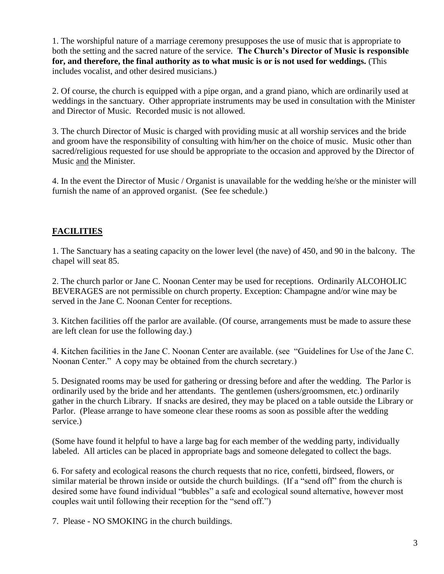1. The worshipful nature of a marriage ceremony presupposes the use of music that is appropriate to both the setting and the sacred nature of the service. **The Church's Director of Music is responsible for, and therefore, the final authority as to what music is or is not used for weddings.** (This includes vocalist, and other desired musicians.)

2. Of course, the church is equipped with a pipe organ, and a grand piano, which are ordinarily used at weddings in the sanctuary. Other appropriate instruments may be used in consultation with the Minister and Director of Music. Recorded music is not allowed.

3. The church Director of Music is charged with providing music at all worship services and the bride and groom have the responsibility of consulting with him/her on the choice of music. Music other than sacred/religious requested for use should be appropriate to the occasion and approved by the Director of Music and the Minister.

4. In the event the Director of Music / Organist is unavailable for the wedding he/she or the minister will furnish the name of an approved organist. (See fee schedule.)

# **FACILITIES**

1. The Sanctuary has a seating capacity on the lower level (the nave) of 450, and 90 in the balcony. The chapel will seat 85.

2. The church parlor or Jane C. Noonan Center may be used for receptions. Ordinarily ALCOHOLIC BEVERAGES are not permissible on church property. Exception: Champagne and/or wine may be served in the Jane C. Noonan Center for receptions.

3. Kitchen facilities off the parlor are available. (Of course, arrangements must be made to assure these are left clean for use the following day.)

4. Kitchen facilities in the Jane C. Noonan Center are available. (see "Guidelines for Use of the Jane C. Noonan Center." A copy may be obtained from the church secretary.)

5. Designated rooms may be used for gathering or dressing before and after the wedding. The Parlor is ordinarily used by the bride and her attendants. The gentlemen (ushers/groomsmen, etc.) ordinarily gather in the church Library. If snacks are desired, they may be placed on a table outside the Library or Parlor. (Please arrange to have someone clear these rooms as soon as possible after the wedding service.)

(Some have found it helpful to have a large bag for each member of the wedding party, individually labeled. All articles can be placed in appropriate bags and someone delegated to collect the bags.

6. For safety and ecological reasons the church requests that no rice, confetti, birdseed, flowers, or similar material be thrown inside or outside the church buildings. (If a "send off" from the church is desired some have found individual "bubbles" a safe and ecological sound alternative, however most couples wait until following their reception for the "send off.")

7. Please - NO SMOKING in the church buildings.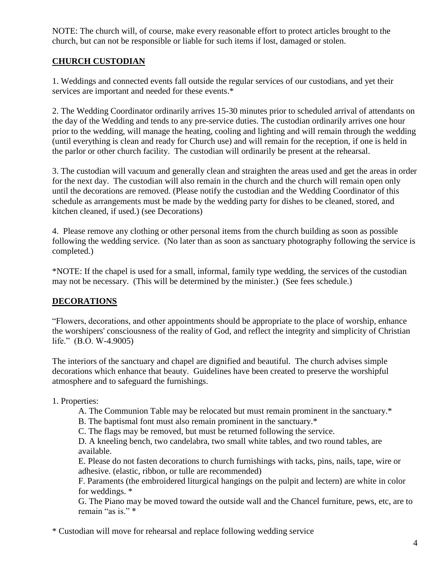NOTE: The church will, of course, make every reasonable effort to protect articles brought to the church, but can not be responsible or liable for such items if lost, damaged or stolen.

## **CHURCH CUSTODIAN**

1. Weddings and connected events fall outside the regular services of our custodians, and yet their services are important and needed for these events.\*

2. The Wedding Coordinator ordinarily arrives 15-30 minutes prior to scheduled arrival of attendants on the day of the Wedding and tends to any pre-service duties. The custodian ordinarily arrives one hour prior to the wedding, will manage the heating, cooling and lighting and will remain through the wedding (until everything is clean and ready for Church use) and will remain for the reception, if one is held in the parlor or other church facility. The custodian will ordinarily be present at the rehearsal.

3. The custodian will vacuum and generally clean and straighten the areas used and get the areas in order for the next day. The custodian will also remain in the church and the church will remain open only until the decorations are removed. (Please notify the custodian and the Wedding Coordinator of this schedule as arrangements must be made by the wedding party for dishes to be cleaned, stored, and kitchen cleaned, if used.) (see Decorations)

4. Please remove any clothing or other personal items from the church building as soon as possible following the wedding service. (No later than as soon as sanctuary photography following the service is completed.)

\*NOTE: If the chapel is used for a small, informal, family type wedding, the services of the custodian may not be necessary. (This will be determined by the minister.) (See fees schedule.)

## **DECORATIONS**

"Flowers, decorations, and other appointments should be appropriate to the place of worship, enhance the worshipers' consciousness of the reality of God, and reflect the integrity and simplicity of Christian life." (B.O. W-4.9005)

The interiors of the sanctuary and chapel are dignified and beautiful. The church advises simple decorations which enhance that beauty. Guidelines have been created to preserve the worshipful atmosphere and to safeguard the furnishings.

## 1. Properties:

- A. The Communion Table may be relocated but must remain prominent in the sanctuary.\*
- B. The baptismal font must also remain prominent in the sanctuary.\*
- C. The flags may be removed, but must be returned following the service.

D. A kneeling bench, two candelabra, two small white tables, and two round tables, are available.

E. Please do not fasten decorations to church furnishings with tacks, pins, nails, tape, wire or adhesive. (elastic, ribbon, or tulle are recommended)

F. Paraments (the embroidered liturgical hangings on the pulpit and lectern) are white in color for weddings. \*

G. The Piano may be moved toward the outside wall and the Chancel furniture, pews, etc, are to remain "as is." \*

\* Custodian will move for rehearsal and replace following wedding service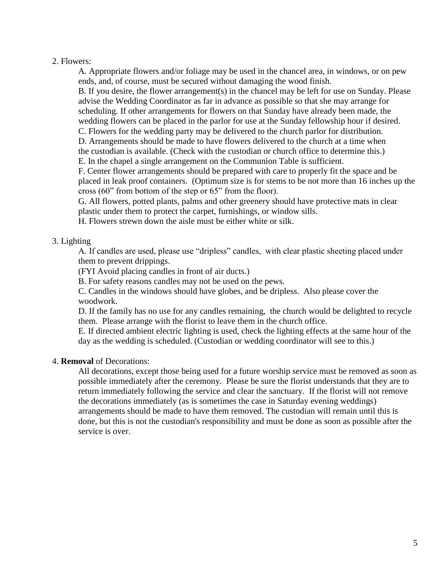#### 2. Flowers:

A. Appropriate flowers and/or foliage may be used in the chancel area, in windows, or on pew ends, and, of course, must be secured without damaging the wood finish.

B. If you desire, the flower arrangement(s) in the chancel may be left for use on Sunday. Please advise the Wedding Coordinator as far in advance as possible so that she may arrange for scheduling. If other arrangements for flowers on that Sunday have already been made, the wedding flowers can be placed in the parlor for use at the Sunday fellowship hour if desired.

C. Flowers for the wedding party may be delivered to the church parlor for distribution.

D. Arrangements should be made to have flowers delivered to the church at a time when the custodian is available. (Check with the custodian or church office to determine this.)

E. In the chapel a single arrangement on the Communion Table is sufficient.

F. Center flower arrangements should be prepared with care to properly fit the space and be placed in leak proof containers. (Optimum size is for stems to be not more than 16 inches up the cross (60" from bottom of the step or 65" from the floor).

G. All flowers, potted plants, palms and other greenery should have protective mats in clear plastic under them to protect the carpet, furnishings, or window sills.

H. Flowers strewn down the aisle must be either white or silk.

#### 3. Lighting

A. If candles are used, please use "dripless" candles, with clear plastic sheeting placed under them to prevent drippings.

(FYI Avoid placing candles in front of air ducts.)

B. For safety reasons candles may not be used on the pews.

C. Candles in the windows should have globes, and be dripless. Also please cover the woodwork.

D. If the family has no use for any candles remaining, the church would be delighted to recycle them. Please arrange with the florist to leave them in the church office.

E. If directed ambient electric lighting is used, check the lighting effects at the same hour of the day as the wedding is scheduled. (Custodian or wedding coordinator will see to this.)

#### 4. **Removal** of Decorations:

All decorations, except those being used for a future worship service must be removed as soon as possible immediately after the ceremony. Please be sure the florist understands that they are to return immediately following the service and clear the sanctuary. If the florist will not remove the decorations immediately (as is sometimes the case in Saturday evening weddings) arrangements should be made to have them removed. The custodian will remain until this is done, but this is not the custodian's responsibility and must be done as soon as possible after the service is over.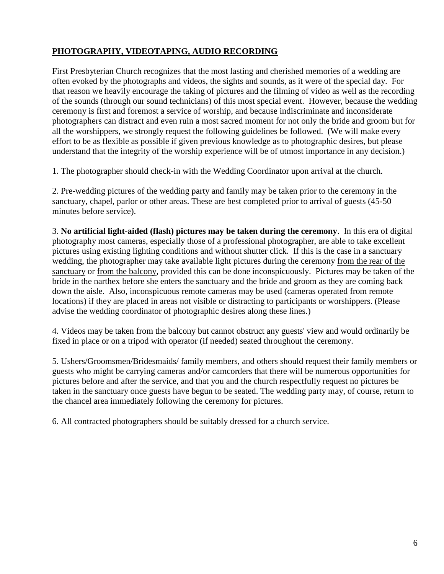# **PHOTOGRAPHY, VIDEOTAPING, AUDIO RECORDING**

First Presbyterian Church recognizes that the most lasting and cherished memories of a wedding are often evoked by the photographs and videos, the sights and sounds, as it were of the special day. For that reason we heavily encourage the taking of pictures and the filming of video as well as the recording of the sounds (through our sound technicians) of this most special event. However, because the wedding ceremony is first and foremost a service of worship, and because indiscriminate and inconsiderate photographers can distract and even ruin a most sacred moment for not only the bride and groom but for all the worshippers, we strongly request the following guidelines be followed. (We will make every effort to be as flexible as possible if given previous knowledge as to photographic desires, but please understand that the integrity of the worship experience will be of utmost importance in any decision.)

1. The photographer should check-in with the Wedding Coordinator upon arrival at the church.

2. Pre-wedding pictures of the wedding party and family may be taken prior to the ceremony in the sanctuary, chapel, parlor or other areas. These are best completed prior to arrival of guests (45-50 minutes before service).

3. **No artificial light-aided (flash) pictures may be taken during the ceremony**. In this era of digital photography most cameras, especially those of a professional photographer, are able to take excellent pictures using existing lighting conditions and without shutter click. If this is the case in a sanctuary wedding, the photographer may take available light pictures during the ceremony from the rear of the sanctuary or from the balcony, provided this can be done inconspicuously. Pictures may be taken of the bride in the narthex before she enters the sanctuary and the bride and groom as they are coming back down the aisle. Also, inconspicuous remote cameras may be used (cameras operated from remote locations) if they are placed in areas not visible or distracting to participants or worshippers. (Please advise the wedding coordinator of photographic desires along these lines.)

4. Videos may be taken from the balcony but cannot obstruct any guests' view and would ordinarily be fixed in place or on a tripod with operator (if needed) seated throughout the ceremony.

5. Ushers/Groomsmen/Bridesmaids/ family members, and others should request their family members or guests who might be carrying cameras and/or camcorders that there will be numerous opportunities for pictures before and after the service, and that you and the church respectfully request no pictures be taken in the sanctuary once guests have begun to be seated. The wedding party may, of course, return to the chancel area immediately following the ceremony for pictures.

6. All contracted photographers should be suitably dressed for a church service.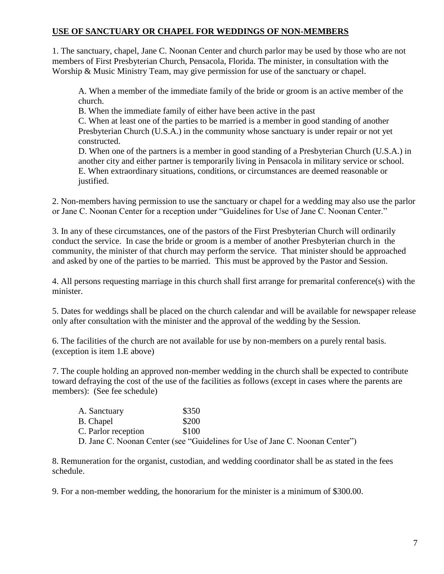## **USE OF SANCTUARY OR CHAPEL FOR WEDDINGS OF NON-MEMBERS**

1. The sanctuary, chapel, Jane C. Noonan Center and church parlor may be used by those who are not members of First Presbyterian Church, Pensacola, Florida. The minister, in consultation with the Worship & Music Ministry Team, may give permission for use of the sanctuary or chapel.

A. When a member of the immediate family of the bride or groom is an active member of the church.

B. When the immediate family of either have been active in the past

C. When at least one of the parties to be married is a member in good standing of another Presbyterian Church (U.S.A.) in the community whose sanctuary is under repair or not yet constructed.

D. When one of the partners is a member in good standing of a Presbyterian Church (U.S.A.) in another city and either partner is temporarily living in Pensacola in military service or school. E. When extraordinary situations, conditions, or circumstances are deemed reasonable or justified.

2. Non-members having permission to use the sanctuary or chapel for a wedding may also use the parlor or Jane C. Noonan Center for a reception under "Guidelines for Use of Jane C. Noonan Center."

3. In any of these circumstances, one of the pastors of the First Presbyterian Church will ordinarily conduct the service. In case the bride or groom is a member of another Presbyterian church in the community, the minister of that church may perform the service. That minister should be approached and asked by one of the parties to be married. This must be approved by the Pastor and Session.

4. All persons requesting marriage in this church shall first arrange for premarital conference(s) with the minister.

5. Dates for weddings shall be placed on the church calendar and will be available for newspaper release only after consultation with the minister and the approval of the wedding by the Session.

6. The facilities of the church are not available for use by non-members on a purely rental basis. (exception is item 1.E above)

7. The couple holding an approved non-member wedding in the church shall be expected to contribute toward defraying the cost of the use of the facilities as follows (except in cases where the parents are members): (See fee schedule)

| A. Sanctuary        | \$350                                                                        |
|---------------------|------------------------------------------------------------------------------|
| <b>B.</b> Chapel    | \$200                                                                        |
| C. Parlor reception | \$100                                                                        |
|                     | D. Jane C. Noonan Center (see "Guidelines for Use of Jane C. Noonan Center") |

8. Remuneration for the organist, custodian, and wedding coordinator shall be as stated in the fees schedule.

9. For a non-member wedding, the honorarium for the minister is a minimum of \$300.00.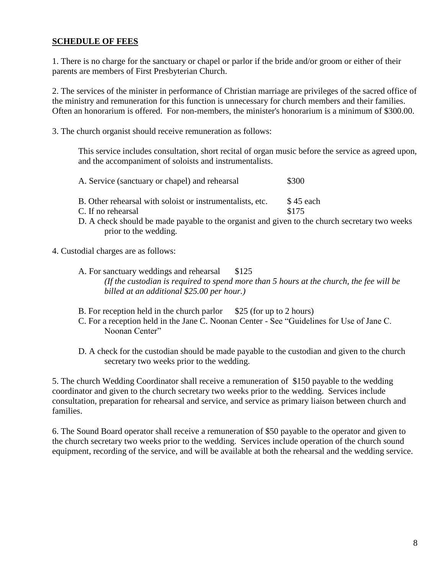### **SCHEDULE OF FEES**

1. There is no charge for the sanctuary or chapel or parlor if the bride and/or groom or either of their parents are members of First Presbyterian Church.

2. The services of the minister in performance of Christian marriage are privileges of the sacred office of the ministry and remuneration for this function is unnecessary for church members and their families. Often an honorarium is offered. For non-members, the minister's honorarium is a minimum of \$300.00.

3. The church organist should receive remuneration as follows:

This service includes consultation, short recital of organ music before the service as agreed upon, and the accompaniment of soloists and instrumentalists.

- A. Service (sanctuary or chapel) and rehearsal  $\qquad$  \$300
- B. Other rehearsal with soloist or instrumentalists, etc. \$45 each
- C. If no rehearsal \$175

- D. A check should be made payable to the organist and given to the church secretary two weeks prior to the wedding.
- 4. Custodial charges are as follows:
	- A. For sanctuary weddings and rehearsal \$125 *(If the custodian is required to spend more than 5 hours at the church, the fee will be billed at an additional \$25.00 per hour.)*
	- B. For reception held in the church parlor  $$25$  (for up to 2 hours)
	- C. For a reception held in the Jane C. Noonan Center See "Guidelines for Use of Jane C. Noonan Center"

D. A check for the custodian should be made payable to the custodian and given to the church secretary two weeks prior to the wedding.

5. The church Wedding Coordinator shall receive a remuneration of \$150 payable to the wedding coordinator and given to the church secretary two weeks prior to the wedding. Services include consultation, preparation for rehearsal and service, and service as primary liaison between church and families.

6. The Sound Board operator shall receive a remuneration of \$50 payable to the operator and given to the church secretary two weeks prior to the wedding. Services include operation of the church sound equipment, recording of the service, and will be available at both the rehearsal and the wedding service.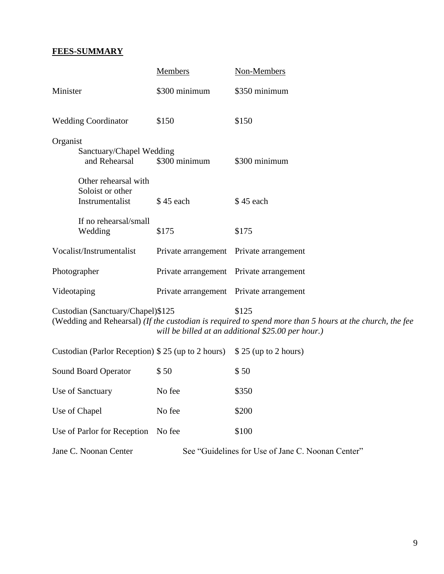# **FEES-SUMMARY**

|                                                                                                                                                                                                             | <b>Members</b>                          | Non-Members                                       |  |
|-------------------------------------------------------------------------------------------------------------------------------------------------------------------------------------------------------------|-----------------------------------------|---------------------------------------------------|--|
| Minister                                                                                                                                                                                                    | \$300 minimum                           | \$350 minimum                                     |  |
| <b>Wedding Coordinator</b>                                                                                                                                                                                  | \$150                                   | \$150                                             |  |
| Organist<br>Sanctuary/Chapel Wedding<br>and Rehearsal                                                                                                                                                       | \$300 minimum                           | \$300 minimum                                     |  |
| Other rehearsal with<br>Soloist or other<br>Instrumentalist                                                                                                                                                 | \$45 each                               | \$45 each                                         |  |
| If no rehearsal/small<br>Wedding                                                                                                                                                                            | \$175                                   | \$175                                             |  |
| Vocalist/Instrumentalist                                                                                                                                                                                    | Private arrangement Private arrangement |                                                   |  |
| Photographer                                                                                                                                                                                                | Private arrangement Private arrangement |                                                   |  |
| Videotaping                                                                                                                                                                                                 | Private arrangement Private arrangement |                                                   |  |
| Custodian (Sanctuary/Chapel)\$125<br>\$125<br>(Wedding and Rehearsal) (If the custodian is required to spend more than 5 hours at the church, the fee<br>will be billed at an additional \$25.00 per hour.) |                                         |                                                   |  |
| Custodian (Parlor Reception) \$25 (up to 2 hours)                                                                                                                                                           |                                         | $$25$ (up to 2 hours)                             |  |
| Sound Board Operator                                                                                                                                                                                        | \$50                                    | \$50                                              |  |
| Use of Sanctuary                                                                                                                                                                                            | No fee                                  | \$350                                             |  |
| Use of Chapel                                                                                                                                                                                               | No fee                                  | \$200                                             |  |
| Use of Parlor for Reception                                                                                                                                                                                 | No fee                                  | \$100                                             |  |
| Jane C. Noonan Center                                                                                                                                                                                       |                                         | See "Guidelines for Use of Jane C. Noonan Center" |  |